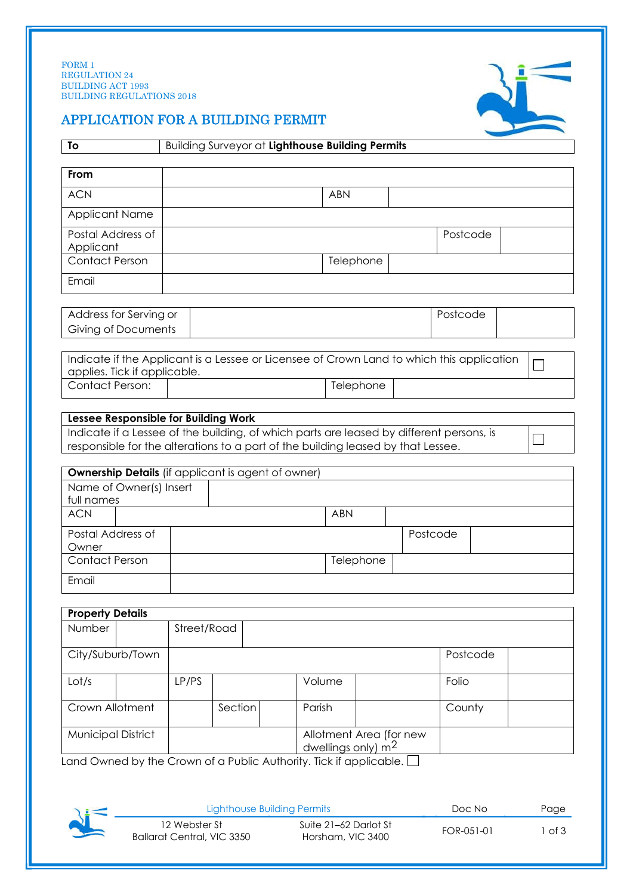

## APPLICATION FOR A BUILDING PERMIT

| To                                                                                        | Building Surveyor at Lighthouse Building Permits |             |         |        |                                                 |           |          |          |  |
|-------------------------------------------------------------------------------------------|--------------------------------------------------|-------------|---------|--------|-------------------------------------------------|-----------|----------|----------|--|
| From                                                                                      |                                                  |             |         |        |                                                 |           |          |          |  |
| <b>ACN</b>                                                                                |                                                  |             |         |        | <b>ABN</b>                                      |           |          |          |  |
| <b>Applicant Name</b>                                                                     |                                                  |             |         |        |                                                 |           |          |          |  |
| Postal Address of                                                                         |                                                  |             |         |        |                                                 |           |          | Postcode |  |
| Applicant                                                                                 |                                                  |             |         |        |                                                 |           |          |          |  |
| Contact Person                                                                            |                                                  |             |         |        |                                                 | Telephone |          |          |  |
| Email                                                                                     |                                                  |             |         |        |                                                 |           |          |          |  |
| Address for Serving or                                                                    |                                                  |             |         |        |                                                 |           | Postcode |          |  |
| <b>Giving of Documents</b>                                                                |                                                  |             |         |        |                                                 |           |          |          |  |
| Indicate if the Applicant is a Lessee or Licensee of Crown Land to which this application |                                                  |             |         |        |                                                 |           |          |          |  |
| applies. Tick if applicable.                                                              |                                                  |             |         |        |                                                 |           |          |          |  |
| Contact Person:                                                                           |                                                  |             |         |        |                                                 | Telephone |          |          |  |
|                                                                                           |                                                  |             |         |        |                                                 |           |          |          |  |
| Lessee Responsible for Building Work                                                      |                                                  |             |         |        |                                                 |           |          |          |  |
|                                                                                           |                                                  |             |         |        |                                                 |           |          |          |  |
| Indicate if a Lessee of the building, of which parts are leased by different persons, is  |                                                  |             |         |        |                                                 |           |          |          |  |
| responsible for the alterations to a part of the building leased by that Lessee.          |                                                  |             |         |        |                                                 |           |          |          |  |
| <b>Ownership Details</b> (if applicant is agent of owner)                                 |                                                  |             |         |        |                                                 |           |          |          |  |
| Name of Owner(s) Insert                                                                   |                                                  |             |         |        |                                                 |           |          |          |  |
| full names                                                                                |                                                  |             |         |        |                                                 |           |          |          |  |
| <b>ACN</b>                                                                                |                                                  |             |         |        | <b>ABN</b>                                      |           |          |          |  |
| Postal Address of                                                                         |                                                  |             |         |        |                                                 |           | Postcode |          |  |
| Owner<br><b>Contact Person</b>                                                            |                                                  |             |         |        |                                                 |           |          |          |  |
| Email                                                                                     |                                                  |             |         |        |                                                 | Telephone |          |          |  |
|                                                                                           |                                                  |             |         |        |                                                 |           |          |          |  |
| <b>Property Details</b>                                                                   |                                                  |             |         |        |                                                 |           |          |          |  |
| Number                                                                                    |                                                  | Street/Road |         |        |                                                 |           |          |          |  |
| City/Suburb/Town                                                                          |                                                  |             |         |        |                                                 |           |          | Postcode |  |
| Lot/s                                                                                     |                                                  | LP/PS       |         |        | Volume                                          |           | Folio    |          |  |
|                                                                                           |                                                  |             | Section | Parish |                                                 |           | County   |          |  |
| Crown Allotment<br><b>Municipal District</b>                                              |                                                  |             |         |        | Allotment Area (for new<br>dwellings only) $m2$ |           |          |          |  |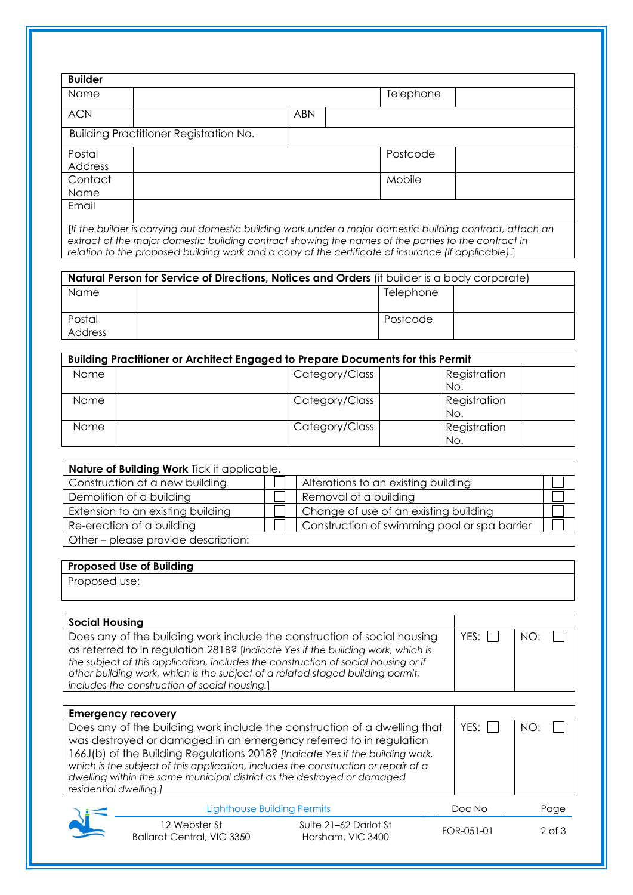| <b>Builder</b>    |                                                                                                          |           |  |
|-------------------|----------------------------------------------------------------------------------------------------------|-----------|--|
| Name              |                                                                                                          | Telephone |  |
| <b>ACN</b>        | <b>ABN</b>                                                                                               |           |  |
|                   | Building Practitioner Registration No.                                                                   |           |  |
| Postal<br>Address |                                                                                                          | Postcode  |  |
| Contact           |                                                                                                          | Mobile    |  |
| <b>Name</b>       |                                                                                                          |           |  |
| Email             |                                                                                                          |           |  |
|                   | If the builder is carning out domestic building work under a major domestic building contract, attach an |           |  |

[*If the builder is carrying out domestic building work under a major domestic building contract, attach an extract of the major domestic building contract showing the names of the parties to the contract in relation to the proposed building work and a copy of the certificate of insurance (if applicable)*.]

| Natural Person for Service of Directions, Notices and Orders (if builder is a body corporate) |  |           |  |  |
|-----------------------------------------------------------------------------------------------|--|-----------|--|--|
| Name                                                                                          |  | Telephone |  |  |
| Postal<br>Address                                                                             |  | Postcode  |  |  |

|      | Building Practitioner or Architect Engaged to Prepare Documents for this Permit |  |                     |  |  |
|------|---------------------------------------------------------------------------------|--|---------------------|--|--|
| Name | Category/Class                                                                  |  | Registration<br>No. |  |  |
| Name | Category/Class                                                                  |  | Registration<br>No. |  |  |
| Name | Category/Class                                                                  |  | Registration<br>No. |  |  |

| Nature of Building Work Tick if applicable. |  |                                              |  |  |
|---------------------------------------------|--|----------------------------------------------|--|--|
| Construction of a new building              |  | Alterations to an existing building          |  |  |
| Demolition of a building                    |  | Removal of a building                        |  |  |
| Extension to an existing building           |  | Change of use of an existing building        |  |  |
| Re-erection of a building                   |  | Construction of swimming pool or spa barrier |  |  |
| Other – please provide description:         |  |                                              |  |  |

## **Proposed Use of Building**

Proposed use:

| <b>Social Housing</b>                                                                                                                                                                                                                                                                                                                                                                |        |     |
|--------------------------------------------------------------------------------------------------------------------------------------------------------------------------------------------------------------------------------------------------------------------------------------------------------------------------------------------------------------------------------------|--------|-----|
| Does any of the building work include the construction of social housing<br>as referred to in regulation 281B? [Indicate Yes if the building work, which is<br>the subject of this application, includes the construction of social housing or if<br>other building work, which is the subject of a related staged building permit,<br>includes the construction of social housing.] | YFS: I | NO. |

| <b>Emergency recovery</b>                                                          |        |     |
|------------------------------------------------------------------------------------|--------|-----|
| Does any of the building work include the construction of a dwelling that          | YES: I | NO: |
| was destroyed or damaged in an emergency referred to in regulation                 |        |     |
| 166J(b) of the Building Regulations 2018? [Indicate Yes if the building work,      |        |     |
| which is the subject of this application, includes the construction or repair of a |        |     |
| dwelling within the same municipal district as the destroyed or damaged            |        |     |
| residential dwelling.]                                                             |        |     |
|                                                                                    |        |     |

|    | Lighthouse Building Permits                 |                                            | Doc No     | Page   |
|----|---------------------------------------------|--------------------------------------------|------------|--------|
| ŊĪ | 12 Webster St<br>Ballarat Central, VIC 3350 | Suite 21–62 Darlot St<br>Horsham, VIC 3400 | FOR-051-01 | 2 of 3 |